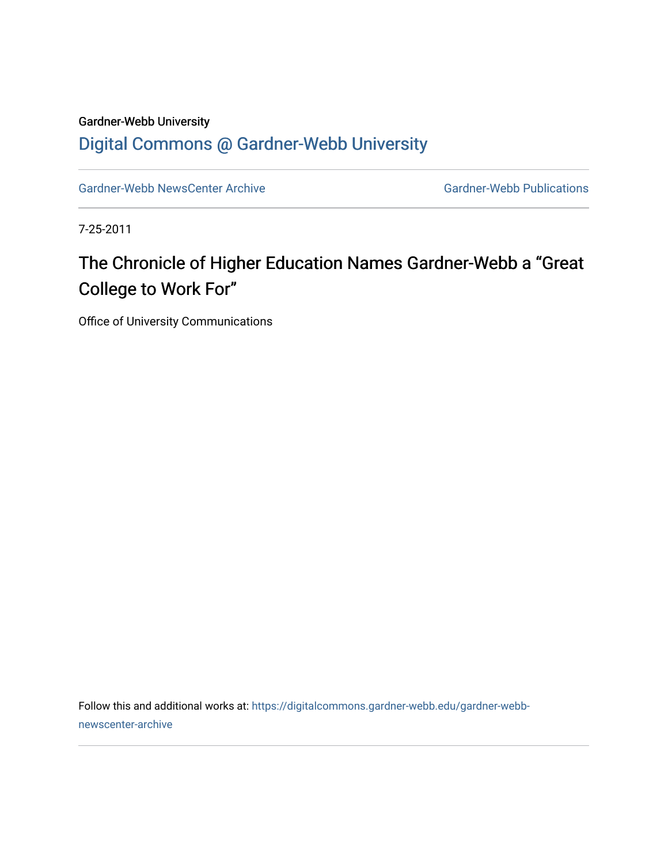## Gardner-Webb University [Digital Commons @ Gardner-Webb University](https://digitalcommons.gardner-webb.edu/)

[Gardner-Webb NewsCenter Archive](https://digitalcommons.gardner-webb.edu/gardner-webb-newscenter-archive) Gardner-Webb Publications

7-25-2011

## The Chronicle of Higher Education Names Gardner-Webb a "Great College to Work For"

Office of University Communications

Follow this and additional works at: [https://digitalcommons.gardner-webb.edu/gardner-webb](https://digitalcommons.gardner-webb.edu/gardner-webb-newscenter-archive?utm_source=digitalcommons.gardner-webb.edu%2Fgardner-webb-newscenter-archive%2F2057&utm_medium=PDF&utm_campaign=PDFCoverPages)[newscenter-archive](https://digitalcommons.gardner-webb.edu/gardner-webb-newscenter-archive?utm_source=digitalcommons.gardner-webb.edu%2Fgardner-webb-newscenter-archive%2F2057&utm_medium=PDF&utm_campaign=PDFCoverPages)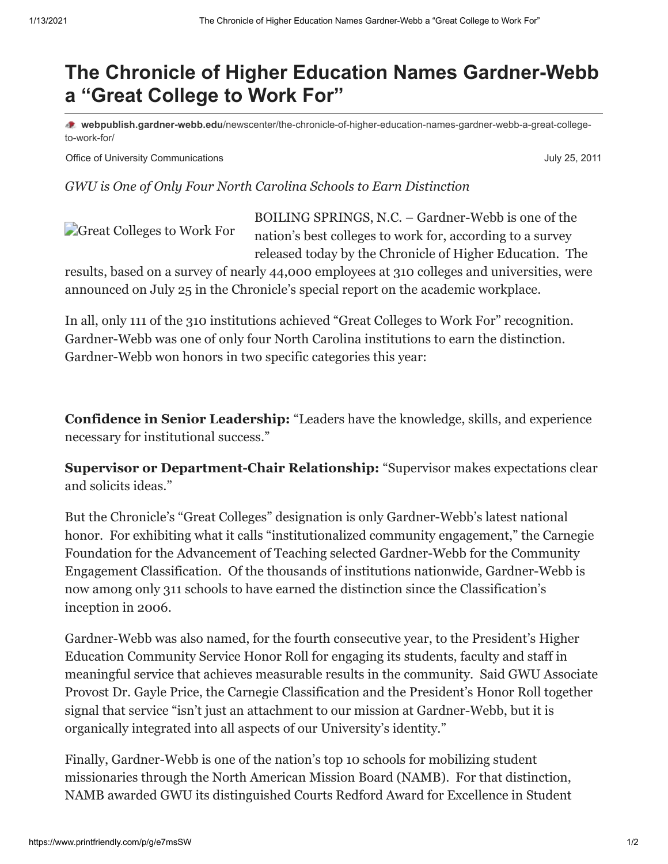## **The Chronicle of Higher Education Names Gardner-Webb a "Great College to Work For"**

**webpublish.gardner-webb.edu**[/newscenter/the-chronicle-of-higher-education-names-gardner-webb-a-great-college](https://webpublish.gardner-webb.edu/newscenter/the-chronicle-of-higher-education-names-gardner-webb-a-great-college-to-work-for/)to-work-for/

Office of University Communications **Communications** July 25, 2011

*GWU is One of Only Four North Carolina Schools to Earn Distinction*

[Great Colleges to Work For](http://152.44.63.252/newscenter/?attachment_id=803) BOILING SPRINGS, N.C. – Gardner-Webb is one of the [nation's best colleges to work for, according to a survey](http://chronicle.com/article/Great-Colleges-to-Work-For/128312/) released today by the Chronicle of Higher Education. The

results, based on a survey of nearly 44,000 employees at 310 colleges and universities, were announced on July 25 in the Chronicle's special report on the academic workplace.

In all, only 111 of the 310 institutions achieved "Great Colleges to Work For" recognition. Gardner-Webb was one of only four North Carolina institutions to earn the distinction. Gardner-Webb won honors in two specific categories this year:

**Confidence in Senior Leadership:** "Leaders have the knowledge, skills, and experience necessary for institutional success."

**Supervisor or Department-Chair Relationship:** "Supervisor makes expectations clear and solicits ideas."

But the Chronicle's "Great Colleges" designation is only Gardner-Webb's latest national honor. For exhibiting what it calls "institutionalized community engagement," the Carnegie Foundation for the Advancement of Teaching selected Gardner-Webb for the Community Engagement Classification. Of the thousands of institutions nationwide, Gardner-Webb is now among only 311 schools to have earned the distinction since the Classification's inception in 2006.

Gardner-Webb was also named, for the fourth consecutive year, to the President's Higher Education Community Service Honor Roll for engaging its students, faculty and staff in meaningful service that achieves measurable results in the community. Said GWU Associate Provost Dr. Gayle Price, the Carnegie Classification and the President's Honor Roll together signal that service "isn't just an attachment to our mission at Gardner-Webb, but it is organically integrated into all aspects of our University's identity."

Finally, Gardner-Webb is one of the nation's top 10 schools for mobilizing student missionaries through the North American Mission Board (NAMB). For that distinction, NAMB awarded GWU its distinguished Courts Redford Award for Excellence in Student